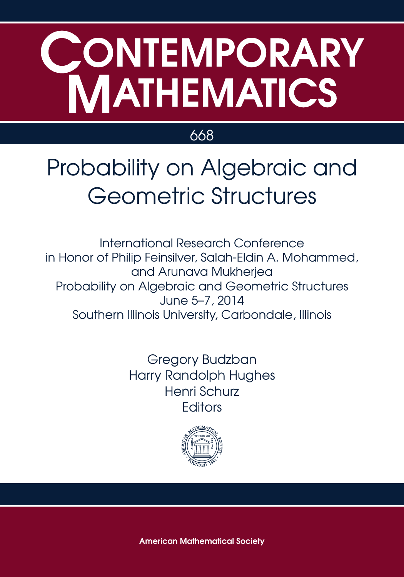# CONTEMPORARY **MATHEMATICS**

### 668

### Probability on Algebraic and Geometric Structures

International Research Conference in Honor of Philip Feinsilver, Salah-Eldin A. Mohammed, and Arunava Mukherjea Probability on Algebraic and Geometric Structures June 5–7, 2014 Southern Illinois University, Carbondale, Illinois

> Gregory Budzban Harry Randolph Hughes Henri Schurz **Editors**



**American Mathematical Society**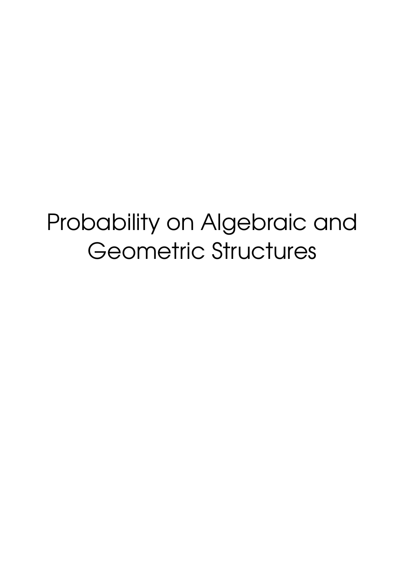### Probability on Algebraic and Geometric Structures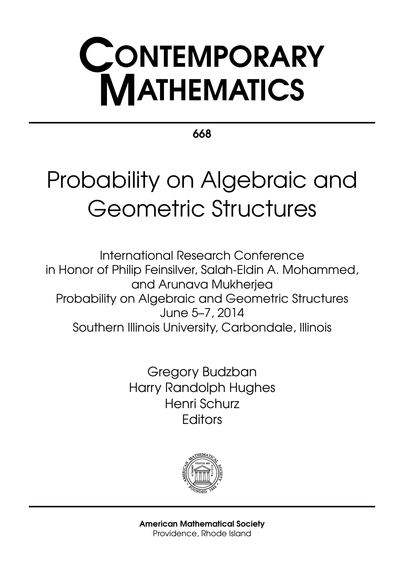## CONTEMPORARY MATHEMATICS

668

## Probability on Algebraic and Geometric Structures

International Research Conference in Honor of Philip Feinsilver, Salah-Eldin A. Mohammed, and Arunava Mukherjea Probability on Algebraic and Geometric Structures June 5–7, 2014 Southern Illinois University, Carbondale, Illinois

> Gregory Budzban Harry Randolph Hughes Henri Schurz Editors



American Mathematical Society Providence, Rhode Island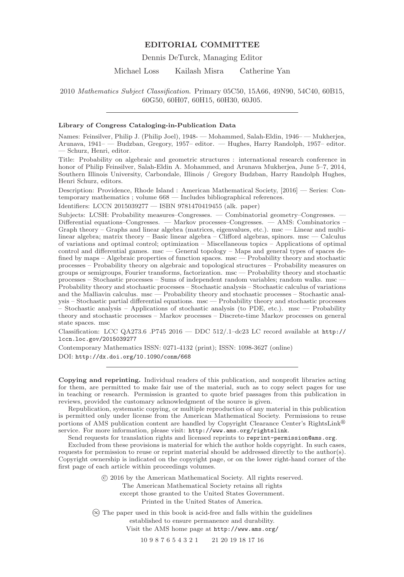#### **EDITORIAL COMMITTEE**

Dennis DeTurck, Managing Editor

Michael Loss Kailash Misra Catherine Yan

2010 Mathematics Subject Classification. Primary 05C50, 15A66, 49N90, 54C40, 60B15, 60G50, 60H07, 60H15, 60H30, 60J05.

#### **Library of Congress Cataloging-in-Publication Data**

Names: Feinsilver, Philip J. (Philip Joel), 1948- — Mohammed, Salah-Eldin, 1946– — Mukherjea, Arunava, 1941– — Budzban, Gregory, 1957– editor. — Hughes, Harry Randolph, 1957– editor. — Schurz, Henri, editor.

Title: Probability on algebraic and geometric structures : international research conference in honor of Philip Feinsilver, Salah-Eldin A. Mohammed, and Arunava Mukherjea, June 5–7, 2014, Southern Illinois University, Carbondale, Illinois / Gregory Budzban, Harry Randolph Hughes, Henri Schurz, editors.

Description: Providence, Rhode Island : American Mathematical Society, [2016] — Series: Contemporary mathematics ; volume 668 — Includes bibliographical references.

Identifiers: LCCN 2015039277 — ISBN 9781470419455 (alk. paper)

Subjects: LCSH: Probability measures–Congresses. — Combinatorial geometry–Congresses. — Differential equations–Congresses. — Markov processes–Congresses. — AMS: Combinatorics – Graph theory – Graphs and linear algebra (matrices, eigenvalues, etc.). msc — Linear and multilinear algebra; matrix theory – Basic linear algebra – Clifford algebras, spinors. msc — Calculus of variations and optimal control; optimization – Miscellaneous topics – Applications of optimal control and differential games. msc — General topology – Maps and general types of spaces defined by maps – Algebraic properties of function spaces. msc — Probability theory and stochastic processes – Probability theory on algebraic and topological structures – Probability measures on groups or semigroups, Fourier transforms, factorization. msc — Probability theory and stochastic processes – Stochastic processes – Sums of independent random variables; random walks. msc — Probability theory and stochastic processes – Stochastic analysis – Stochastic calculus of variations and the Malliavin calculus. msc — Probability theory and stochastic processes – Stochastic analysis – Stochastic partial differential equations. msc — Probability theory and stochastic processes – Stochastic analysis – Applications of stochastic analysis (to PDE, etc.). msc — Probability theory and stochastic processes – Markov processes – Discrete-time Markov processes on general state spaces. msc

Classification: LCC QA273.6 .P745 2016 — DDC 512/.1–dc23 LC record available at [http://](http://lccn.loc.gov/2015039277) [lccn.loc.gov/2015039277](http://lccn.loc.gov/2015039277)

Contemporary Mathematics ISSN: 0271-4132 (print); ISSN: 1098-3627 (online) DOI: <http://dx.doi.org/10.1090/conm/668>

**Copying and reprinting.** Individual readers of this publication, and nonprofit libraries acting for them, are permitted to make fair use of the material, such as to copy select pages for use in teaching or research. Permission is granted to quote brief passages from this publication in reviews, provided the customary acknowledgment of the source is given.

Republication, systematic copying, or multiple reproduction of any material in this publication is permitted only under license from the American Mathematical Society. Permissions to reuse portions of AMS publication content are handled by Copyright Clearance Center's RightsLink<sup>®</sup> service. For more information, please visit: http://www.ams.org/rightslink.

Send requests for translation rights and licensed reprints to reprint-permission@ams.org. Excluded from these provisions is material for which the author holds copyright. In such cases,

requests for permission to reuse or reprint material should be addressed directly to the author(s). Copyright ownership is indicated on the copyright page, or on the lower right-hand corner of the first page of each article within proceedings volumes.

-c 2016 by the American Mathematical Society. All rights reserved.

The American Mathematical Society retains all rights

except those granted to the United States Government.

Printed in the United States of America.

-∞ The paper used in this book is acid-free and falls within the guidelines established to ensure permanence and durability. Visit the AMS home page at http://www.ams.org/

 $10\ 9\ 8\ 7\ 6\ 5\ 4\ 3\ 2\ 1 \qquad 21\ 20\ 19\ 18\ 17\ 16$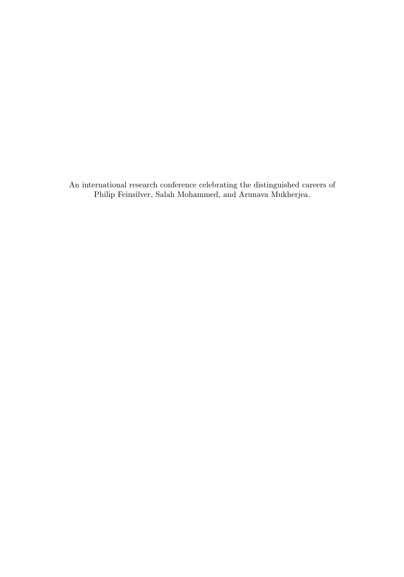An international research conference celebrating the distinguished careers of Philip Feinsilver, Salah Mohammed, and Arunava Mukherjea.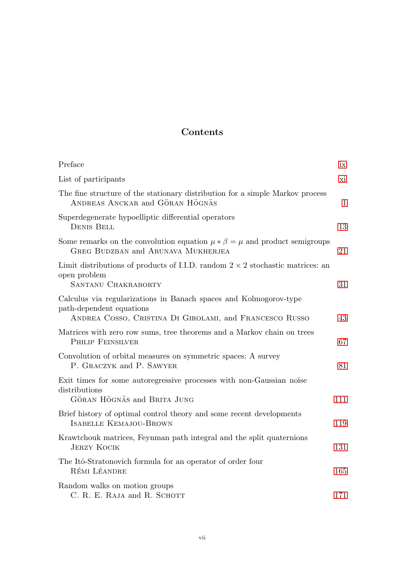#### **Contents**

| Preface                                                                                                                                                  | ix  |
|----------------------------------------------------------------------------------------------------------------------------------------------------------|-----|
| List of participants                                                                                                                                     | xi  |
| The fine structure of the stationary distribution for a simple Markov process<br>ANDREAS ANCKAR and GÖRAN HÖGNÄS                                         | 1   |
| Superdegenerate hypoelliptic differential operators<br><b>DENIS BELL</b>                                                                                 | 13  |
| Some remarks on the convolution equation $\mu * \beta = \mu$ and product semigroups<br>GREG BUDZBAN and ARUNAVA MUKHERJEA                                | 21  |
| Limit distributions of products of I.I.D. random $2 \times 2$ stochastic matrices: an<br>open problem<br>SANTANU CHAKRABORTY                             | 31  |
| Calculus via regularizations in Banach spaces and Kolmogorov-type<br>path-dependent equations<br>ANDREA COSSO, CRISTINA DI GIROLAMI, and FRANCESCO RUSSO | 43  |
| Matrices with zero row sums, tree theorems and a Markov chain on trees<br><b>PHILIP FEINSILVER</b>                                                       | 67  |
| Convolution of orbital measures on symmetric spaces: A survey<br>P. GRACZYK and P. SAWYER                                                                | 81  |
| Exit times for some autoregressive processes with non-Gaussian noise<br>distributions<br>GÖRAN HÖGNÄS and BRITA JUNG                                     | 111 |
| Brief history of optimal control theory and some recent developments<br><b>ISABELLE KEMAJOU-BROWN</b>                                                    | 119 |
| Krawtchouk matrices, Feynman path integral and the split quaternions<br><b>JERZY KOCIK</b>                                                               | 131 |
| The Itô-Stratonovich formula for an operator of order four<br>RÉMI LÉANDRE                                                                               | 165 |
| Random walks on motion groups<br>C. R. E. RAJA and R. SCHOTT                                                                                             | 171 |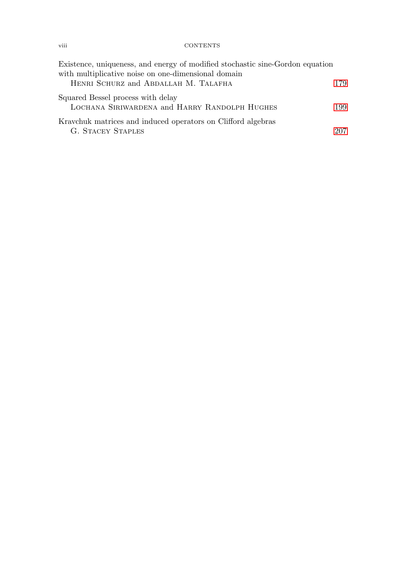#### viii CONTENTS

| Existence, uniqueness, and energy of modified stochastic sine-Gordon equation      |     |
|------------------------------------------------------------------------------------|-----|
| with multiplicative noise on one-dimensional domain                                |     |
| HENRI SCHURZ and ABDALLAH M. TALAFHA                                               | 179 |
| Squared Bessel process with delay<br>LOCHANA SIRIWARDENA and HARRY RANDOLPH HUGHES | 199 |
| Kravchuk matrices and induced operators on Clifford algebras<br>G. STACEY STAPLES  | 207 |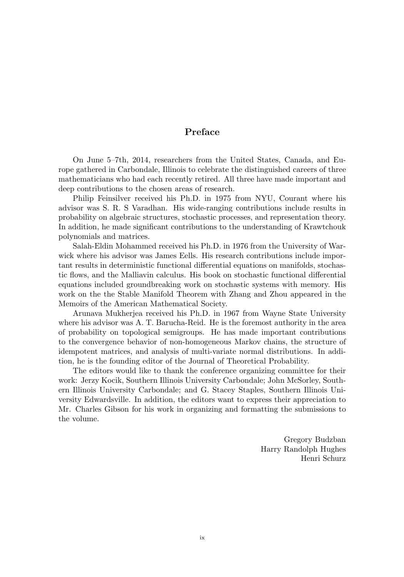#### **Preface**

<span id="page-9-0"></span>On June 5–7th, 2014, researchers from the United States, Canada, and Europe gathered in Carbondale, Illinois to celebrate the distinguished careers of three mathematicians who had each recently retired. All three have made important and deep contributions to the chosen areas of research.

Philip Feinsilver received his Ph.D. in 1975 from NYU, Courant where his advisor was S. R. S Varadhan. His wide-ranging contributions include results in probability on algebraic structures, stochastic processes, and representation theory. In addition, he made significant contributions to the understanding of Krawtchouk polynomials and matrices.

Salah-Eldin Mohammed received his Ph.D. in 1976 from the University of Warwick where his advisor was James Eells. His research contributions include important results in deterministic functional differential equations on manifolds, stochastic flows, and the Malliavin calculus. His book on stochastic functional differential equations included groundbreaking work on stochastic systems with memory. His work on the the Stable Manifold Theorem with Zhang and Zhou appeared in the Memoirs of the American Mathematical Society.

Arunava Mukherjea received his Ph.D. in 1967 from Wayne State University where his advisor was A. T. Barucha-Reid. He is the foremost authority in the area of probability on topological semigroups. He has made important contributions to the convergence behavior of non-homogeneous Markov chains, the structure of idempotent matrices, and analysis of multi-variate normal distributions. In addition, he is the founding editor of the Journal of Theoretical Probability.

The editors would like to thank the conference organizing committee for their work: Jerzy Kocik, Southern Illinois University Carbondale; John McSorley, Southern Illinois University Carbondale; and G. Stacey Staples, Southern Illinois University Edwardsville. In addition, the editors want to express their appreciation to Mr. Charles Gibson for his work in organizing and formatting the submissions to the volume.

> Gregory Budzban Harry Randolph Hughes Henri Schurz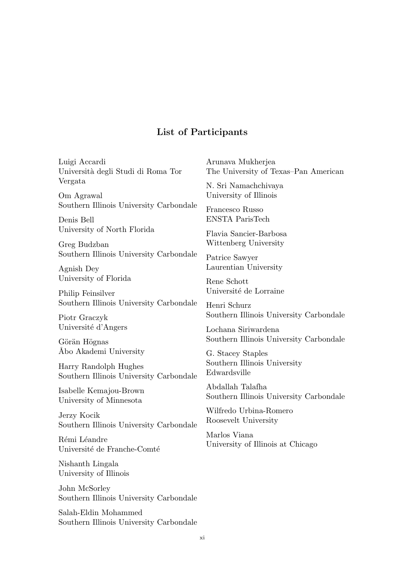#### **List of Participants**

<span id="page-11-0"></span>Luigi Accardi Universit`a degli Studi di Roma Tor Vergata Om Agrawal Southern Illinois University Carbondale Denis Bell University of North Florida Greg Budzban Southern Illinois University Carbondale Agnish Dey University of Florida Philip Feinsilver Southern Illinois University Carbondale Piotr Graczyk Université d'Angers Görän Högnas Åbo Akademi University Harry Randolph Hughes Southern Illinois University Carbondale Isabelle Kemajou-Brown University of Minnesota Jerzy Kocik Southern Illinois University Carbondale Rémi Léandre Université de Franche-Comté Nishanth Lingala University of Illinois John McSorley Southern Illinois University Carbondale Arunava Mukherjea The University of Texas–Pan American N. Sri Namachchivaya University of Illinois Francesco Russo ENSTA ParisTech Flavia Sancier-Barbosa Wittenberg University Patrice Sawyer Laurentian University Rene Schott Université de Lorraine Henri Schurz Southern Illinois University Carbondale Lochana Siriwardena Southern Illinois University Carbondale G. Stacey Staples Southern Illinois University Edwardsville Abdallah Talafha Southern Illinois University Carbondale Wilfredo Urbina-Romero Roosevelt University Marlos Viana University of Illinois at Chicago

Salah-Eldin Mohammed Southern Illinois University Carbondale

xi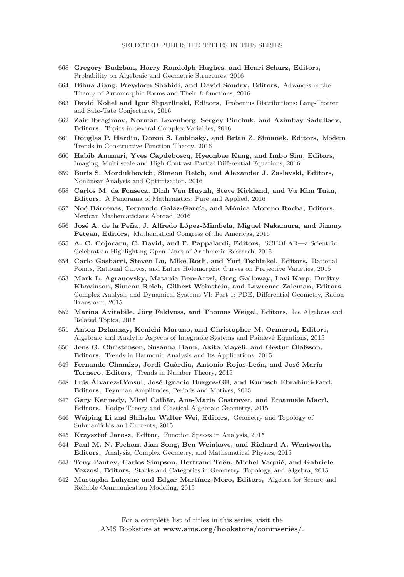- 668 **Gregory Budzban, Harry Randolph Hughes, and Henri Schurz, Editors,** Probability on Algebraic and Geometric Structures, 2016
- 664 **Dihua Jiang, Freydoon Shahidi, and David Soudry, Editors,** Advances in the Theory of Automorphic Forms and Their L-functions, 2016
- 663 **David Kohel and Igor Shparlinski, Editors,** Frobenius Distributions: Lang-Trotter and Sato-Tate Conjectures, 2016
- 662 **Zair Ibragimov, Norman Levenberg, Sergey Pinchuk, and Azimbay Sadullaev, Editors,** Topics in Several Complex Variables, 2016
- 661 **Douglas P. Hardin, Doron S. Lubinsky, and Brian Z. Simanek, Editors,** Modern Trends in Constructive Function Theory, 2016
- 660 **Habib Ammari, Yves Capdeboscq, Hyeonbae Kang, and Imbo Sim, Editors,** Imaging, Multi-scale and High Contrast Partial Differential Equations, 2016
- 659 **Boris S. Mordukhovich, Simeon Reich, and Alexander J. Zaslavski, Editors,** Nonlinear Analysis and Optimization, 2016
- 658 **Carlos M. da Fonseca, Dinh Van Huynh, Steve Kirkland, and Vu Kim Tuan, Editors,** A Panorama of Mathematics: Pure and Applied, 2016
- 657 **No´e B´arcenas, Fernando Galaz-Garc´ıa, and M´onica Moreno Rocha, Editors,** Mexican Mathematicians Abroad, 2016
- 656 **Jos´e A. de la Pe˜na, J. Alfredo L´opez-Mimbela, Miguel Nakamura, and Jimmy Petean, Editors,** Mathematical Congress of the Americas, 2016
- 655 **A. C. Cojocaru, C. David, and F. Pappalardi, Editors,** SCHOLAR—a Scientific Celebration Highlighting Open Lines of Arithmetic Research, 2015
- 654 **Carlo Gasbarri, Steven Lu, Mike Roth, and Yuri Tschinkel, Editors,** Rational Points, Rational Curves, and Entire Holomorphic Curves on Projective Varieties, 2015
- 653 **Mark L. Agranovsky, Matania Ben-Artzi, Greg Galloway, Lavi Karp, Dmitry Khavinson, Simeon Reich, Gilbert Weinstein, and Lawrence Zalcman, Editors,** Complex Analysis and Dynamical Systems VI: Part 1: PDE, Differential Geometry, Radon Transform, 2015
- 652 Marina Avitabile, Jörg Feldvoss, and Thomas Weigel, Editors, Lie Algebras and Related Topics, 2015
- 651 **Anton Dzhamay, Kenichi Maruno, and Christopher M. Ormerod, Editors,** Algebraic and Analytic Aspects of Integrable Systems and Painlevé Equations, 2015
- 650 **Jens G. Christensen, Susanna Dann, Azita Mayeli, and Gestur Olafsson, ´ Editors,** Trends in Harmonic Analysis and Its Applications, 2015
- 649 Fernando Chamizo, Jordi Guàrdia, Antonio Rojas-León, and José María **Tornero, Editors,** Trends in Number Theory, 2015
- 648 **Luis Alvarez-C´ ´ onsul, Jos´e Ignacio Burgos-Gil, and Kurusch Ebrahimi-Fard, Editors,** Feynman Amplitudes, Periods and Motives, 2015
- 647 Gary Kennedy, Mirel Caibăr, Ana-Maria Castravet, and Emanuele Macri, **Editors,** Hodge Theory and Classical Algebraic Geometry, 2015
- 646 **Weiping Li and Shihshu Walter Wei, Editors,** Geometry and Topology of Submanifolds and Currents, 2015
- 645 **Krzysztof Jarosz, Editor,** Function Spaces in Analysis, 2015
- 644 **Paul M. N. Feehan, Jian Song, Ben Weinkove, and Richard A. Wentworth, Editors,** Analysis, Complex Geometry, and Mathematical Physics, 2015
- 643 Tony Pantev, Carlos Simpson, Bertrand Toën, Michel Vaquié, and Gabriele **Vezzosi, Editors,** Stacks and Categories in Geometry, Topology, and Algebra, 2015
- 642 **Mustapha Lahyane and Edgar Mart´ınez-Moro, Editors,** Algebra for Secure and Reliable Communication Modeling, 2015

For a complete list of titles in this series, visit the AMS Bookstore at **www.ams.org/bookstore/conmseries/**.